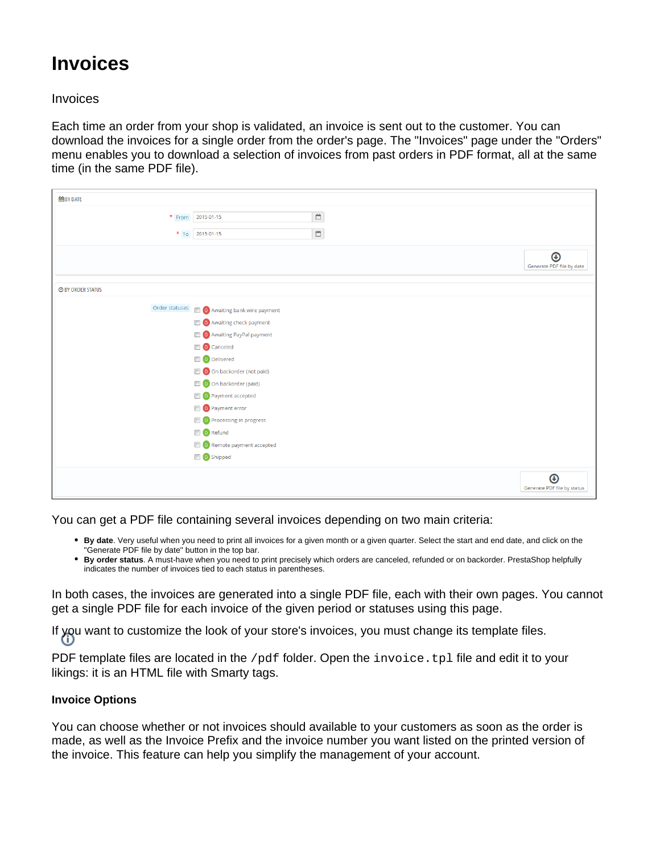## **Invoices**

## Invoices

Each time an order from your shop is validated, an invoice is sent out to the customer. You can download the invoices for a single order from the order's page. The "Invoices" page under the "Orders" menu enables you to download a selection of invoices from past orders in PDF format, all at the same time (in the same PDF file).

| to BY DATE               |                                        |                                           |                                                    |
|--------------------------|----------------------------------------|-------------------------------------------|----------------------------------------------------|
|                          | * From 2015-01-15                      | $\mathrel{\mathop{\scriptstyle\bigcirc}}$ |                                                    |
|                          |                                        |                                           |                                                    |
|                          | * To 2015-01-15                        | $\mathbb{C}$                              |                                                    |
|                          |                                        |                                           | $\boldsymbol{\Theta}$<br>Generate PDF file by date |
| <b>O BY ORDER STATUS</b> |                                        |                                           |                                                    |
| Order statuses           | <b>O</b> Awaiting bank wire payment    |                                           |                                                    |
|                          | <b>O</b> Awaiting check payment        |                                           |                                                    |
|                          | O Awaiting PayPal payment              |                                           |                                                    |
|                          | O Canceled                             |                                           |                                                    |
|                          | O Delivered                            |                                           |                                                    |
|                          | O On backorder (not paid)              |                                           |                                                    |
|                          | O On backorder (paid)                  |                                           |                                                    |
|                          | O Payment accepted                     |                                           |                                                    |
|                          | O Payment error                        |                                           |                                                    |
|                          | O Processing in progress               |                                           |                                                    |
|                          | O Refund                               |                                           |                                                    |
|                          | <sup>1</sup> O Remote payment accepted |                                           |                                                    |
|                          | O Shipped                              |                                           |                                                    |
|                          |                                        |                                           | $\bm{\Theta}$<br>Generate PDF file by status       |

You can get a PDF file containing several invoices depending on two main criteria:

- **By date**. Very useful when you need to print all invoices for a given month or a given quarter. Select the start and end date, and click on the "Generate PDF file by date" button in the top bar.
- **By order status**. A must-have when you need to print precisely which orders are canceled, refunded or on backorder. PrestaShop helpfully indicates the number of invoices tied to each status in parentheses.

In both cases, the invoices are generated into a single PDF file, each with their own pages. You cannot get a single PDF file for each invoice of the given period or statuses using this page.

If you want to customize the look of your store's invoices, you must change its template files.

PDF template files are located in the /pdf folder. Open the invoice.tpl file and edit it to your likings: it is an HTML file with Smarty tags.

## **Invoice Options**

You can choose whether or not invoices should available to your customers as soon as the order is made, as well as the Invoice Prefix and the invoice number you want listed on the printed version of the invoice. This feature can help you simplify the management of your account.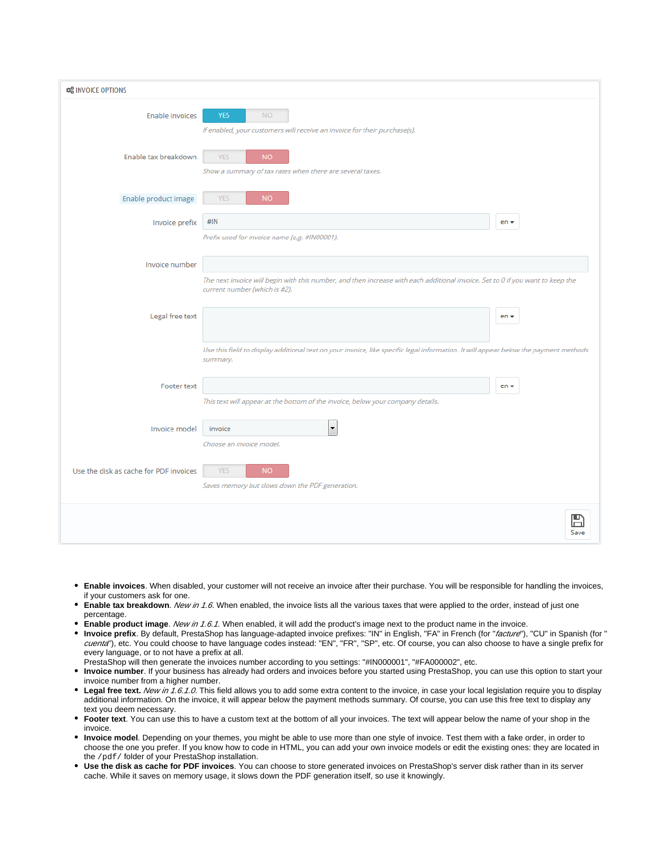| <b>CC INVOICE OPTIONS</b>              |                                                                                                                                                                 |  |  |
|----------------------------------------|-----------------------------------------------------------------------------------------------------------------------------------------------------------------|--|--|
| <b>Enable invoices</b>                 | <b>YES</b><br><b>NO</b><br>If enabled, your customers will receive an invoice for their purchase(s).                                                            |  |  |
| Enable tax breakdown                   | <b>YES</b><br><b>NO</b><br>Show a summary of tax rates when there are several taxes.                                                                            |  |  |
| Enable product image                   | <b>YES</b><br><b>NO</b>                                                                                                                                         |  |  |
| Invoice prefix                         | #IN<br>$en -$<br>Prefix used for invoice name (e.g. #IN00001).                                                                                                  |  |  |
| Invoice number                         | The next invoice will begin with this number, and then increase with each additional invoice. Set to 0 if you want to keep the<br>current number (which is #2). |  |  |
| Legal free text                        | $en -$                                                                                                                                                          |  |  |
|                                        | Use this field to display additional text on your invoice, like specific legal information. It will appear below the payment methods<br>summary.                |  |  |
| <b>Footer text</b>                     | $en -$<br>This text will appear at the bottom of the invoice, below your company details.                                                                       |  |  |
| Invoice model                          | ▼<br>invoice<br>Choose an invoice model.                                                                                                                        |  |  |
| Use the disk as cache for PDF invoices | <b>YES</b><br><b>NO</b><br>Saves memory but slows down the PDF generation.                                                                                      |  |  |
|                                        | Save                                                                                                                                                            |  |  |

- **Enable invoices**. When disabled, your customer will not receive an invoice after their purchase. You will be responsible for handling the invoices, if your customers ask for one.
- **Enable tax breakdown**. New in 1.6. When enabled, the invoice lists all the various taxes that were applied to the order, instead of just one percentage.
- **Enable product image**. New in 1.6.1. When enabled, it will add the product's image next to the product name in the invoice.
- **Invoice prefix**. By default, PrestaShop has language-adapted invoice prefixes: "IN" in English, "FA" in French (for "facture"), "CU" in Spanish (for " cuenta"), etc. You could choose to have language codes instead: "EN", "FR", "SP", etc. Of course, you can also choose to have a single prefix for every language, or to not have a prefix at all.
- PrestaShop will then generate the invoices number according to you settings: "#IN000001", "#FA000002", etc.
- **Invoice number**. If your business has already had orders and invoices before you started using PrestaShop, you can use this option to start your invoice number from a higher number.
- Legal free text. New in 1.6.1.0. This field allows you to add some extra content to the invoice, in case your local legislation require you to display additional information. On the invoice, it will appear below the payment methods summary. Of course, you can use this free text to display any text you deem necessary.
- **Footer text**. You can use this to have a custom text at the bottom of all your invoices. The text will appear below the name of your shop in the invoice.
- **Invoice model**. Depending on your themes, you might be able to use more than one style of invoice. Test them with a fake order, in order to choose the one you prefer. If you know how to code in HTML, you can add your own invoice models or edit the existing ones: they are located in the /pdf/ folder of your PrestaShop installation.
- **Use the disk as cache for PDF invoices**. You can choose to store generated invoices on PrestaShop's server disk rather than in its server cache. While it saves on memory usage, it slows down the PDF generation itself, so use it knowingly.